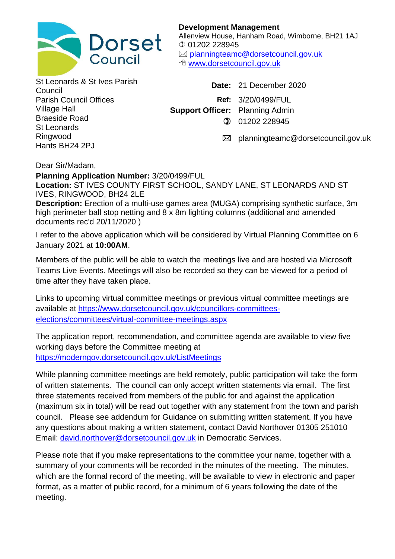

**Development Management** Allenview House, Hanham Road, Wimborne, BH21 1AJ 01202 228945 [planningteamc@dorsetcouncil.gov.uk](mailto:planningteamc@dorsetcouncil.gov.uk) [www.dorsetcouncil.gov.uk](http://www.dorsetcouncil.gov.uk/)

St Leonards & St Ives Parish Parish Council Offices Village Hall Braeside Road St Leonards Ringwood Hants BH24 2PJ

Council **Date:** 21 December 2020 **Ref:** 3/20/0499/FUL **Support Officer:** Planning Admin  $(2)$  01202 228945

 $\boxtimes$  planningteamc@dorsetcouncil.gov.uk

Dear Sir/Madam,

## **Planning Application Number:** 3/20/0499/FUL

**Location:** ST IVES COUNTY FIRST SCHOOL, SANDY LANE, ST LEONARDS AND ST IVES, RINGWOOD, BH24 2LE

**Description:** Erection of a multi-use games area (MUGA) comprising synthetic surface, 3m high perimeter ball stop netting and 8 x 8m lighting columns (additional and amended documents rec'd 20/11/2020 )

I refer to the above application which will be considered by Virtual Planning Committee on 6 January 2021 at **10:00AM**.

Members of the public will be able to watch the meetings live and are hosted via Microsoft Teams Live Events. Meetings will also be recorded so they can be viewed for a period of time after they have taken place.

Links to upcoming virtual committee meetings or previous virtual committee meetings are available at [https://www.dorsetcouncil.gov.uk/councillors-committees](https://www.dorsetcouncil.gov.uk/councillors-committees-elections/committees/virtual-committee-meetings.aspx)[elections/committees/virtual-committee-meetings.aspx](https://www.dorsetcouncil.gov.uk/councillors-committees-elections/committees/virtual-committee-meetings.aspx)

The application report, recommendation, and committee agenda are available to view five working days before the Committee meeting at <https://moderngov.dorsetcouncil.gov.uk/ListMeetings>

While planning committee meetings are held remotely, public participation will take the form of written statements. The council can only accept written statements via email. The first three statements received from members of the public for and against the application (maximum six in total) will be read out together with any statement from the town and parish council. Please see addendum for Guidance on submitting written statement. If you have any questions about making a written statement, contact David Northover 01305 251010 Email: [david.northover@dorsetcouncil.gov.uk](mailto:david.northover@dorsetcouncil.gov.uk) in Democratic Services.

Please note that if you make representations to the committee your name, together with a summary of your comments will be recorded in the minutes of the meeting. The minutes, which are the formal record of the meeting, will be available to view in electronic and paper format, as a matter of public record, for a minimum of 6 years following the date of the meeting.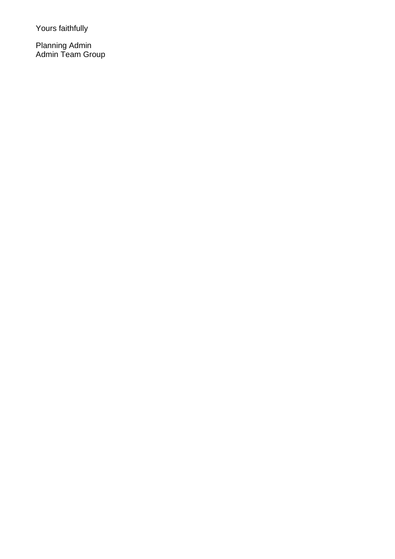Yours faithfully

Planning Admin Admin Team Group